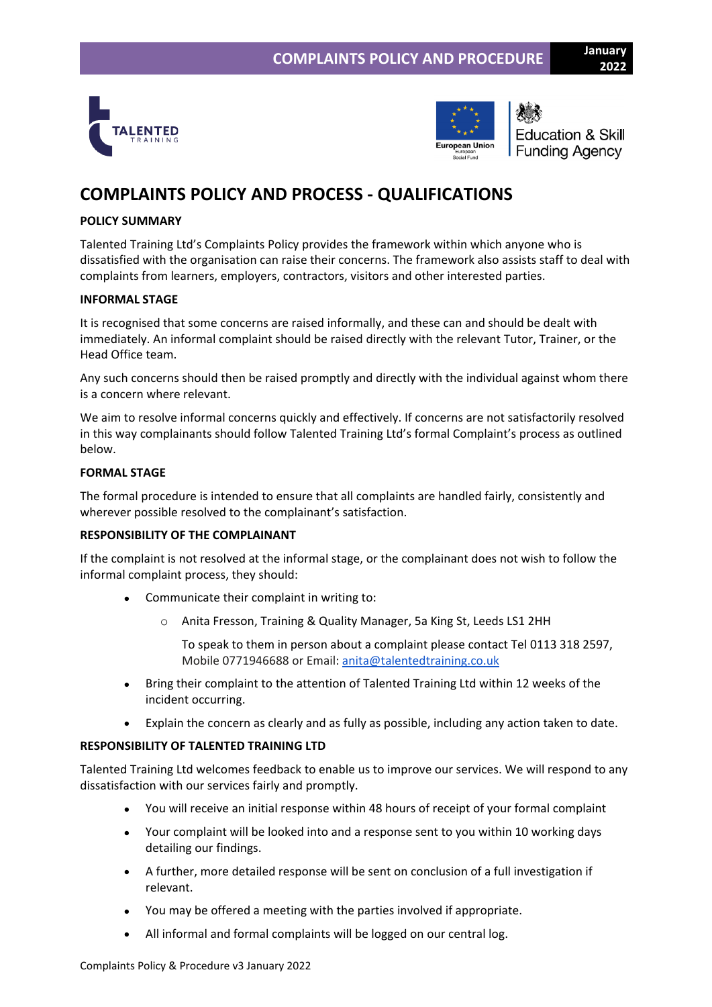



**Education & Skill Funding Agency** 

**2022**

# **COMPLAINTS POLICY AND PROCESS - QUALIFICATIONS**

## **POLICY SUMMARY**

Talented Training Ltd's Complaints Policy provides the framework within which anyone who is dissatisfied with the organisation can raise their concerns. The framework also assists staff to deal with complaints from learners, employers, contractors, visitors and other interested parties.

## **INFORMAL STAGE**

It is recognised that some concerns are raised informally, and these can and should be dealt with immediately. An informal complaint should be raised directly with the relevant Tutor, Trainer, or the Head Office team.

Any such concerns should then be raised promptly and directly with the individual against whom there is a concern where relevant.

We aim to resolve informal concerns quickly and effectively. If concerns are not satisfactorily resolved in this way complainants should follow Talented Training Ltd's formal Complaint's process as outlined below.

## **FORMAL STAGE**

The formal procedure is intended to ensure that all complaints are handled fairly, consistently and wherever possible resolved to the complainant's satisfaction.

## **RESPONSIBILITY OF THE COMPLAINANT**

If the complaint is not resolved at the informal stage, or the complainant does not wish to follow the informal complaint process, they should:

- Communicate their complaint in writing to:
	- o Anita Fresson, Training & Quality Manager, 5a King St, Leeds LS1 2HH

To speak to them in person about a complaint please contact Tel 0113 318 2597, Mobile 0771946688 or Email: [anita@talentedtraining.co.uk](mailto:karen@talentedtraining.co.uk)

- Bring their complaint to the attention of Talented Training Ltd within 12 weeks of the incident occurring.
- Explain the concern as clearly and as fully as possible, including any action taken to date.

## **RESPONSIBILITY OF TALENTED TRAINING LTD**

Talented Training Ltd welcomes feedback to enable us to improve our services. We will respond to any dissatisfaction with our services fairly and promptly.

- You will receive an initial response within 48 hours of receipt of your formal complaint
- Your complaint will be looked into and a response sent to you within 10 working days detailing our findings.
- A further, more detailed response will be sent on conclusion of a full investigation if relevant.
- You may be offered a meeting with the parties involved if appropriate.
- All informal and formal complaints will be logged on our central log.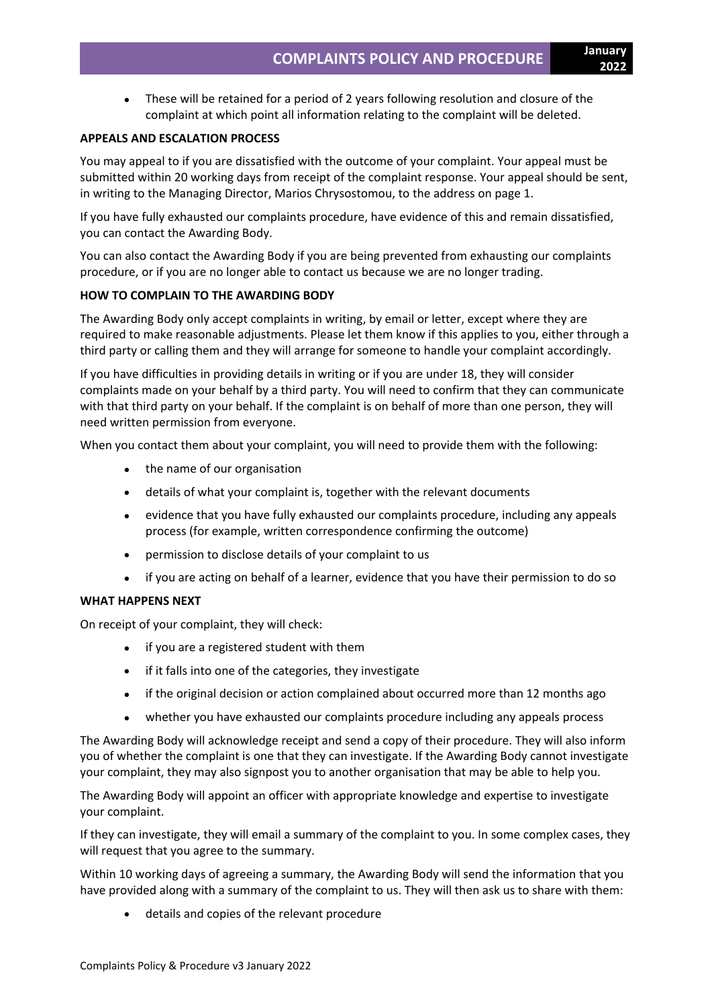• These will be retained for a period of 2 years following resolution and closure of the complaint at which point all information relating to the complaint will be deleted.

## **APPEALS AND ESCALATION PROCESS**

You may appeal to if you are dissatisfied with the outcome of your complaint. Your appeal must be submitted within 20 working days from receipt of the complaint response. Your appeal should be sent, in writing to the Managing Director, Marios Chrysostomou, to the address on page 1.

If you have fully exhausted our complaints procedure, have evidence of this and remain dissatisfied, you can contact the Awarding Body.

You can also contact the Awarding Body if you are being prevented from exhausting our complaints procedure, or if you are no longer able to contact us because we are no longer trading.

### **HOW TO COMPLAIN TO THE AWARDING BODY**

The Awarding Body only accept complaints in writing, by email or letter, except where they are required to make reasonable adjustments. Please let them know if this applies to you, either through a third party or calling them and they will arrange for someone to handle your complaint accordingly.

If you have difficulties in providing details in writing or if you are under 18, they will consider complaints made on your behalf by a third party. You will need to confirm that they can communicate with that third party on your behalf. If the complaint is on behalf of more than one person, they will need written permission from everyone.

When you contact them about your complaint, you will need to provide them with the following:

- the name of our organisation
- details of what your complaint is, together with the relevant documents
- evidence that you have fully exhausted our complaints procedure, including any appeals process (for example, written correspondence confirming the outcome)
- permission to disclose details of your complaint to us
- if you are acting on behalf of a learner, evidence that you have their permission to do so

#### **WHAT HAPPENS NEXT**

On receipt of your complaint, they will check:

- if you are a registered student with them
- if it falls into one of the categories, they investigate
- if the original decision or action complained about occurred more than 12 months ago
- whether you have exhausted our complaints procedure including any appeals process

The Awarding Body will acknowledge receipt and send a copy of their procedure. They will also inform you of whether the complaint is one that they can investigate. If the Awarding Body cannot investigate your complaint, they may also signpost you to another organisation that may be able to help you.

The Awarding Body will appoint an officer with appropriate knowledge and expertise to investigate your complaint.

If they can investigate, they will email a summary of the complaint to you. In some complex cases, they will request that you agree to the summary.

Within 10 working days of agreeing a summary, the Awarding Body will send the information that you have provided along with a summary of the complaint to us. They will then ask us to share with them:

• details and copies of the relevant procedure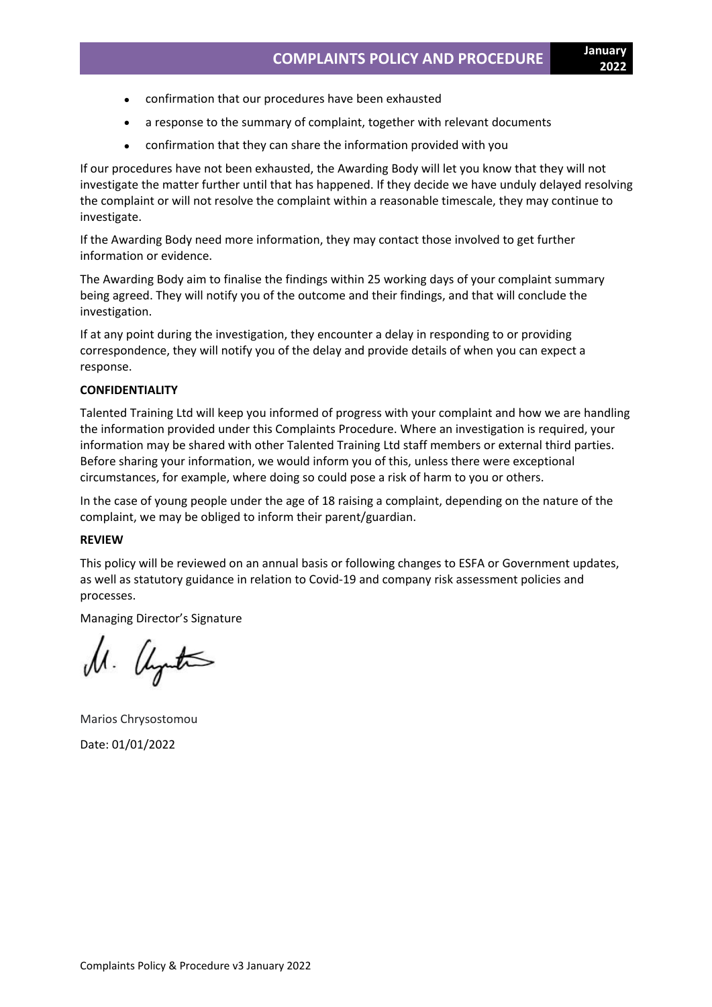- confirmation that our procedures have been exhausted
- a response to the summary of complaint, together with relevant documents
- confirmation that they can share the information provided with you

If our procedures have not been exhausted, the Awarding Body will let you know that they will not investigate the matter further until that has happened. If they decide we have unduly delayed resolving the complaint or will not resolve the complaint within a reasonable timescale, they may continue to investigate.

If the Awarding Body need more information, they may contact those involved to get further information or evidence.

The Awarding Body aim to finalise the findings within 25 working days of your complaint summary being agreed. They will notify you of the outcome and their findings, and that will conclude the investigation.

If at any point during the investigation, they encounter a delay in responding to or providing correspondence, they will notify you of the delay and provide details of when you can expect a response.

#### **CONFIDENTIALITY**

Talented Training Ltd will keep you informed of progress with your complaint and how we are handling the information provided under this Complaints Procedure. Where an investigation is required, your information may be shared with other Talented Training Ltd staff members or external third parties. Before sharing your information, we would inform you of this, unless there were exceptional circumstances, for example, where doing so could pose a risk of harm to you or others.

In the case of young people under the age of 18 raising a complaint, depending on the nature of the complaint, we may be obliged to inform their parent/guardian.

#### **REVIEW**

This policy will be reviewed on an annual basis or following changes to ESFA or Government updates, as well as statutory guidance in relation to Covid-19 and company risk assessment policies and processes.

Managing Director's Signature

M. alyts

Marios Chrysostomou Date: 01/01/2022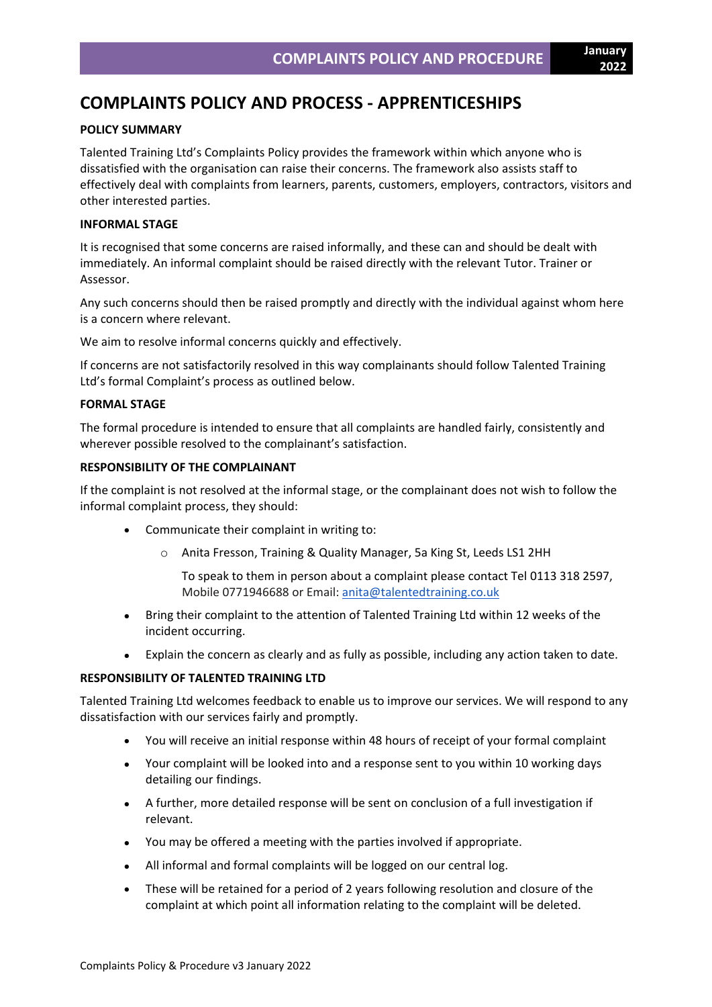# **COMPLAINTS POLICY AND PROCESS - APPRENTICESHIPS**

## **POLICY SUMMARY**

Talented Training Ltd's Complaints Policy provides the framework within which anyone who is dissatisfied with the organisation can raise their concerns. The framework also assists staff to effectively deal with complaints from learners, parents, customers, employers, contractors, visitors and other interested parties.

## **INFORMAL STAGE**

It is recognised that some concerns are raised informally, and these can and should be dealt with immediately. An informal complaint should be raised directly with the relevant Tutor. Trainer or Assessor.

Any such concerns should then be raised promptly and directly with the individual against whom here is a concern where relevant.

We aim to resolve informal concerns quickly and effectively.

If concerns are not satisfactorily resolved in this way complainants should follow Talented Training Ltd's formal Complaint's process as outlined below.

### **FORMAL STAGE**

The formal procedure is intended to ensure that all complaints are handled fairly, consistently and wherever possible resolved to the complainant's satisfaction.

## **RESPONSIBILITY OF THE COMPLAINANT**

If the complaint is not resolved at the informal stage, or the complainant does not wish to follow the informal complaint process, they should:

- Communicate their complaint in writing to:
	- o Anita Fresson, Training & Quality Manager, 5a King St, Leeds LS1 2HH

To speak to them in person about a complaint please contact Tel 0113 318 2597, Mobile 0771946688 or Email: [anita@talentedtraining.co.uk](mailto:karen@talentedtraining.co.uk)

- Bring their complaint to the attention of Talented Training Ltd within 12 weeks of the incident occurring.
- Explain the concern as clearly and as fully as possible, including any action taken to date.

## **RESPONSIBILITY OF TALENTED TRAINING LTD**

Talented Training Ltd welcomes feedback to enable us to improve our services. We will respond to any dissatisfaction with our services fairly and promptly.

- You will receive an initial response within 48 hours of receipt of your formal complaint
- Your complaint will be looked into and a response sent to you within 10 working days detailing our findings.
- A further, more detailed response will be sent on conclusion of a full investigation if relevant.
- You may be offered a meeting with the parties involved if appropriate.
- All informal and formal complaints will be logged on our central log.
- These will be retained for a period of 2 years following resolution and closure of the complaint at which point all information relating to the complaint will be deleted.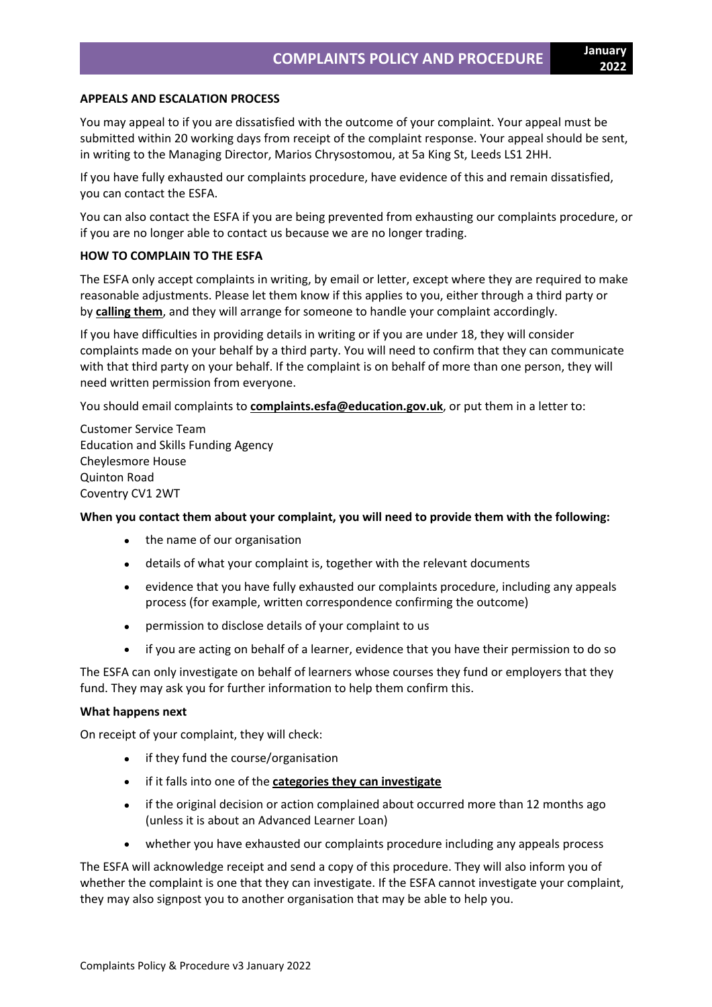### **APPEALS AND ESCALATION PROCESS**

You may appeal to if you are dissatisfied with the outcome of your complaint. Your appeal must be submitted within 20 working days from receipt of the complaint response. Your appeal should be sent, in writing to the Managing Director, Marios Chrysostomou, at 5a King St, Leeds LS1 2HH.

If you have fully exhausted our complaints procedure, have evidence of this and remain dissatisfied, you can contact the ESFA.

You can also contact the ESFA if you are being prevented from exhausting our complaints procedure, or if you are no longer able to contact us because we are no longer trading.

## **HOW TO COMPLAIN TO THE ESFA**

The ESFA only accept complaints in writing, by email or letter, except where they are required to make reasonable adjustments. Please let them know if this applies to you, either through a third party or by **[calling](https://www.gov.uk/contact-dfe) them**, and they will arrange for someone to handle your complaint accordingly.

If you have difficulties in providing details in writing or if you are under 18, they will consider complaints made on your behalf by a third party. You will need to confirm that they can communicate with that third party on your behalf. If the complaint is on behalf of more than one person, they will need written permission from everyone.

You should email complaints to **[complaints.esfa@education.gov.uk](http://complaints.esfa@education.gov.uk/)**, or put them in a letter to:

Customer Service Team Education and Skills Funding Agency Cheylesmore House Quinton Road Coventry CV1 2WT

#### **When you contact them about your complaint, you will need to provide them with the following:**

- the name of our organisation
- details of what your complaint is, together with the relevant documents
- evidence that you have fully exhausted our complaints procedure, including any appeals process (for example, written correspondence confirming the outcome)
- permission to disclose details of your complaint to us
- if you are acting on behalf of a learner, evidence that you have their permission to do so

The ESFA can only investigate on behalf of learners whose courses they fund or employers that they fund. They may ask you for further information to help them confirm this.

#### **What happens next**

On receipt of your complaint, they will check:

- if they fund the course/organisation
- if it falls into one of the **categories they can [investigate](https://www.gov.uk/government/publications/complaints-about-post-16-education-and-training-provision-funded-by-esfa/complaints-about-post-16-education-and-training-provision-funded-by-esfa#What-ESFA-can-investigate)**
- if the original decision or action complained about occurred more than 12 months ago (unless it is about an Advanced Learner Loan)
- whether you have exhausted our complaints procedure including any appeals process

The ESFA will acknowledge receipt and send a copy of this procedure. They will also inform you of whether the complaint is one that they can investigate. If the ESFA cannot investigate your complaint, they may also signpost you to another organisation that may be able to help you.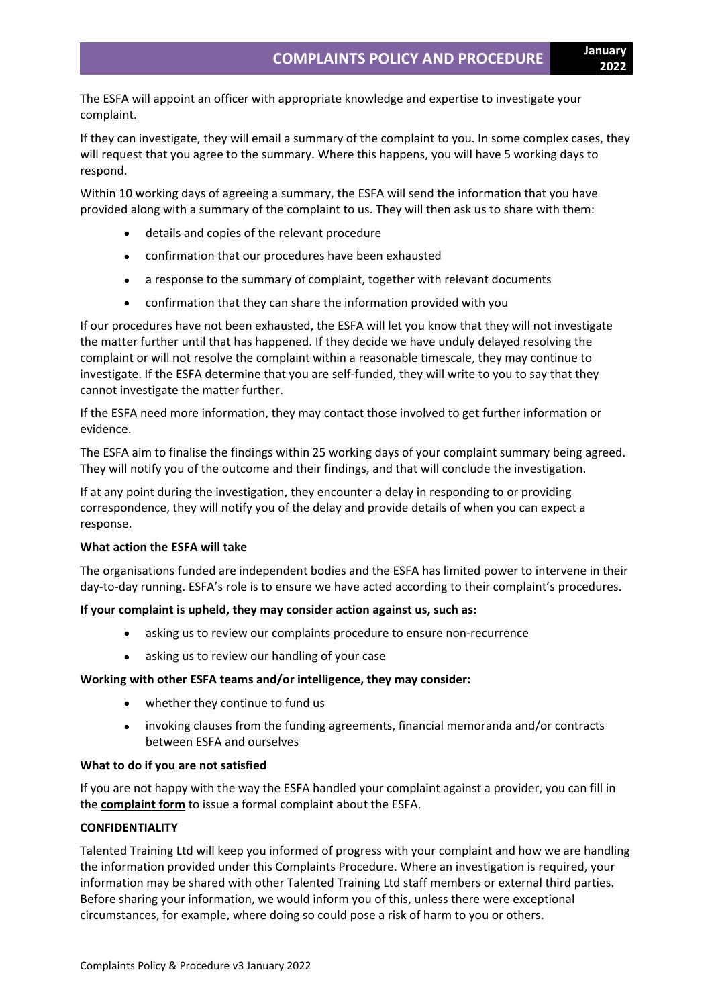The ESFA will appoint an officer with appropriate knowledge and expertise to investigate your complaint.

If they can investigate, they will email a summary of the complaint to you. In some complex cases, they will request that you agree to the summary. Where this happens, you will have 5 working days to respond.

Within 10 working days of agreeing a summary, the ESFA will send the information that you have provided along with a summary of the complaint to us. They will then ask us to share with them:

- details and copies of the relevant procedure
- confirmation that our procedures have been exhausted
- a response to the summary of complaint, together with relevant documents
- confirmation that they can share the information provided with you

If our procedures have not been exhausted, the ESFA will let you know that they will not investigate the matter further until that has happened. If they decide we have unduly delayed resolving the complaint or will not resolve the complaint within a reasonable timescale, they may continue to investigate. If the ESFA determine that you are self-funded, they will write to you to say that they cannot investigate the matter further.

If the ESFA need more information, they may contact those involved to get further information or evidence.

The ESFA aim to finalise the findings within 25 working days of your complaint summary being agreed. They will notify you of the outcome and their findings, and that will conclude the investigation.

If at any point during the investigation, they encounter a delay in responding to or providing correspondence, they will notify you of the delay and provide details of when you can expect a response.

#### **What action the ESFA will take**

The organisations funded are independent bodies and the ESFA has limited power to intervene in their day-to-day running. ESFA's role is to ensure we have acted according to their complaint's procedures.

#### **If your complaint is upheld, they may consider action against us, such as:**

- asking us to review our complaints procedure to ensure non-recurrence
- asking us to review our handling of your case

#### **Working with other ESFA teams and/or intelligence, they may consider:**

- whether they continue to fund us
- invoking clauses from the funding agreements, financial memoranda and/or contracts between ESFA and ourselves

#### **What to do if you are not satisfied**

If you are not happy with the way the ESFA handled your complaint against a provider, you can fill in the **[complaint](https://form.education.gov.uk/en/AchieveForms/?form_uri=sandbox-publish://AF-Process-f1453496-7d8a-463f-9f33-1da2ac47ed76/AF-Stage-1e64d4cc-25fb-499a-a8d7-74e98203ac00/definition.json&redirectlink=%2Fen&cancelRedirectLink=%2Fen) form** to issue a formal complaint about the ESFA.

#### **CONFIDENTIALITY**

Talented Training Ltd will keep you informed of progress with your complaint and how we are handling the information provided under this Complaints Procedure. Where an investigation is required, your information may be shared with other Talented Training Ltd staff members or external third parties. Before sharing your information, we would inform you of this, unless there were exceptional circumstances, for example, where doing so could pose a risk of harm to you or others.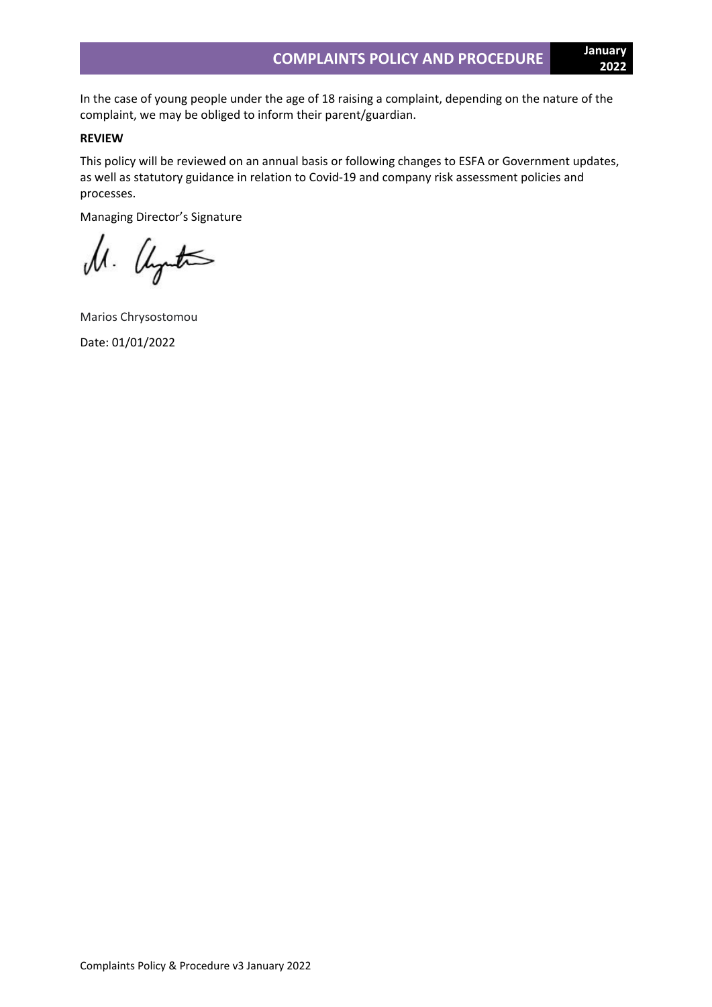In the case of young people under the age of 18 raising a complaint, depending on the nature of the

## **REVIEW**

This policy will be reviewed on an annual basis or following changes to ESFA or Government updates, as well as statutory guidance in relation to Covid-19 and company risk assessment policies and processes.

Managing Director's Signature

complaint, we may be obliged to inform their parent/guardian.

M. Uyutas

Marios Chrysostomou Date: 01/01/2022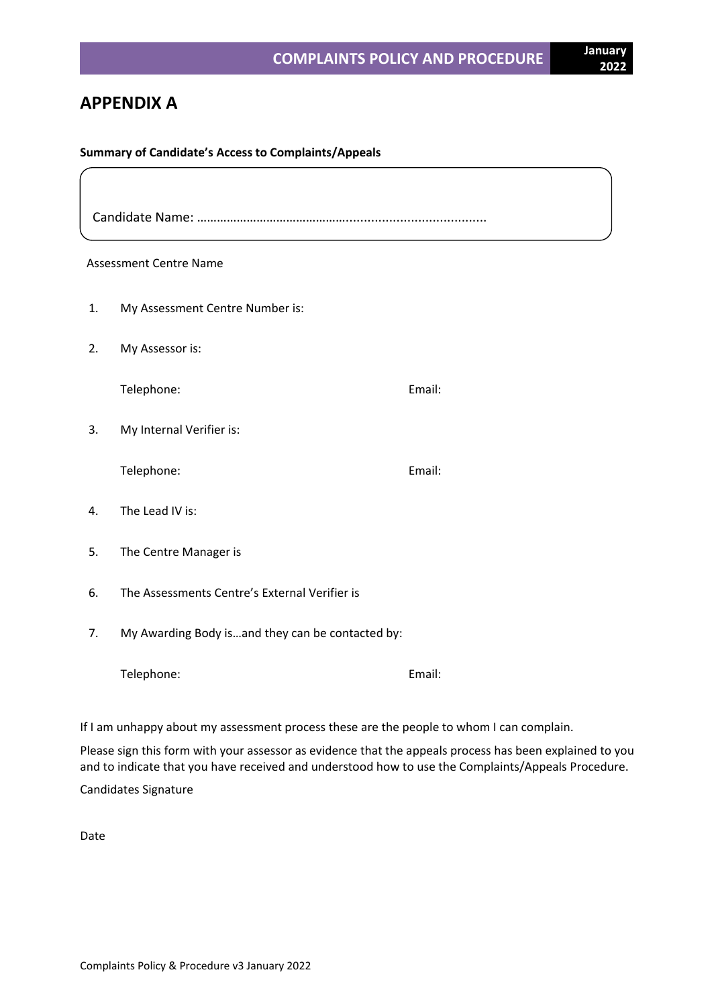## **APPENDIX A**

## **Summary of Candidate's Access to Complaints/Appeals**

Candidate Name: ……………………………………….......................................

## Assessment Centre Name

- 1. My Assessment Centre Number is:
- 2. My Assessor is:

Telephone: Email:

3. My Internal Verifier is:

Telephone: Email:

- 4. The Lead IV is:
- 5. The Centre Manager is
- 6. The Assessments Centre's External Verifier is
- 7. My Awarding Body is…and they can be contacted by:

Telephone: Email:

If I am unhappy about my assessment process these are the people to whom I can complain.

Please sign this form with your assessor as evidence that the appeals process has been explained to you and to indicate that you have received and understood how to use the Complaints/Appeals Procedure.

Candidates Signature

Date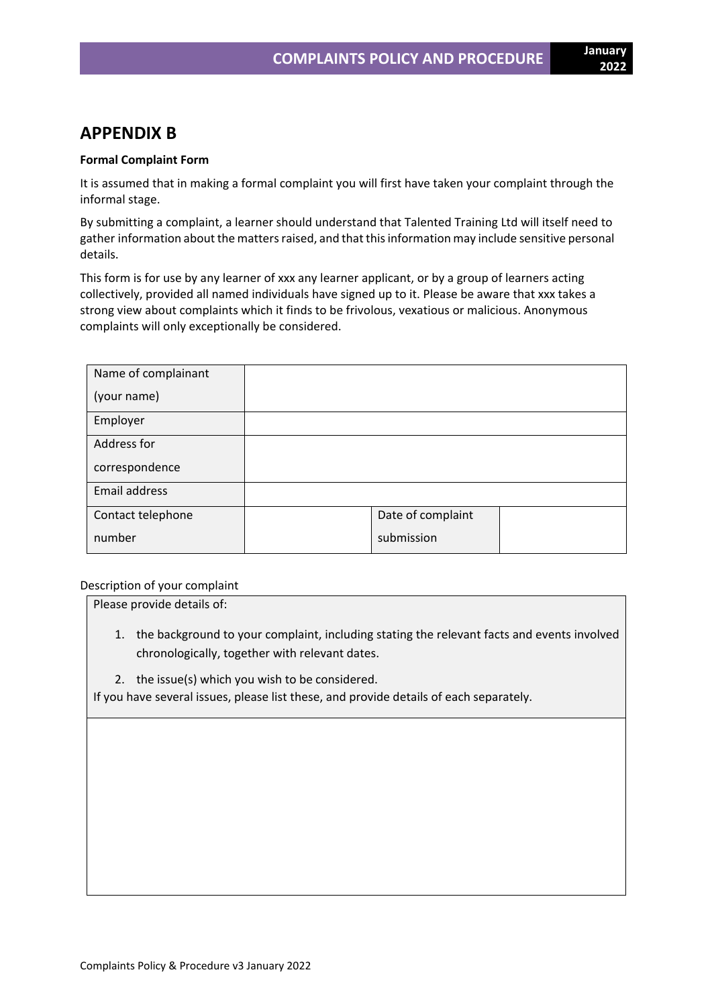## **APPENDIX B**

## **Formal Complaint Form**

It is assumed that in making a formal complaint you will first have taken your complaint through the informal stage.

By submitting a complaint, a learner should understand that Talented Training Ltd will itself need to gather information about the matters raised, and that this information may include sensitive personal details.

This form is for use by any learner of xxx any learner applicant, or by a group of learners acting collectively, provided all named individuals have signed up to it. Please be aware that xxx takes a strong view about complaints which it finds to be frivolous, vexatious or malicious. Anonymous complaints will only exceptionally be considered.

| Name of complainant |                   |  |
|---------------------|-------------------|--|
| (your name)         |                   |  |
| Employer            |                   |  |
| Address for         |                   |  |
| correspondence      |                   |  |
| Email address       |                   |  |
| Contact telephone   | Date of complaint |  |
| number              | submission        |  |

Description of your complaint

Please provide details of:

- 1. the background to your complaint, including stating the relevant facts and events involved chronologically, together with relevant dates.
- 2. the issue(s) which you wish to be considered.

If you have several issues, please list these, and provide details of each separately.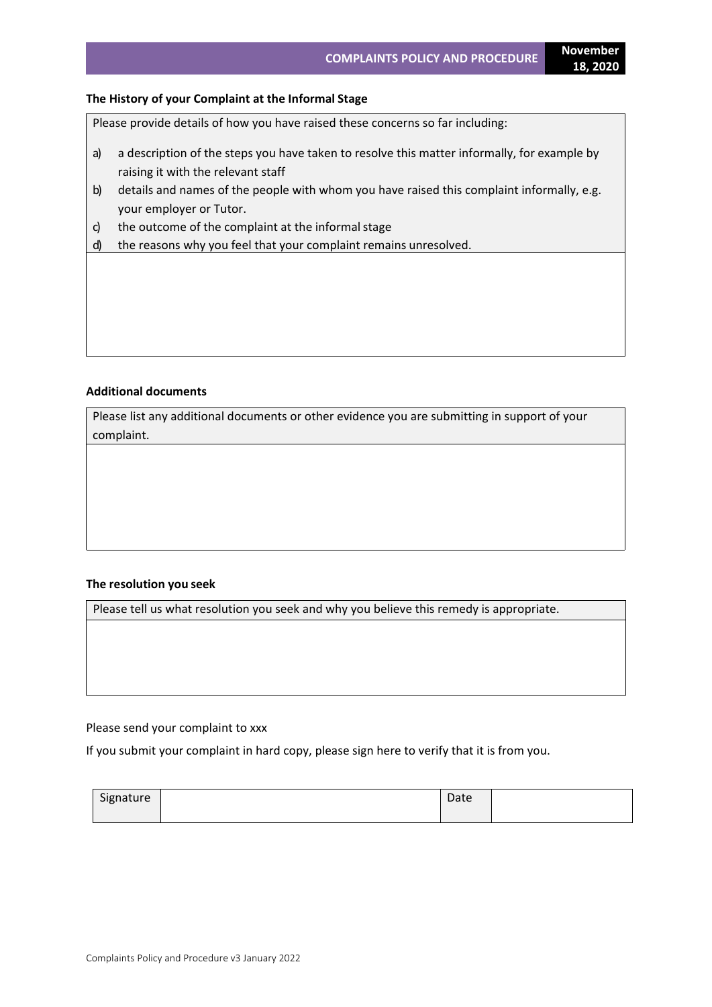## **The History of your Complaint at the Informal Stage**

Please provide details of how you have raised these concerns so far including:

- a) a description of the steps you have taken to resolve this matter informally, for example by raising it with the relevant staff
- b) details and names of the people with whom you have raised this complaint informally, e.g. your employer or Tutor.
- c) the outcome of the complaint at the informal stage
- d) the reasons why you feel that your complaint remains unresolved.

### **Additional documents**

Please list any additional documents or other evidence you are submitting in support of your complaint.

## **The resolution you seek**

Please tell us what resolution you seek and why you believe this remedy is appropriate.

#### Please send your complaint to xxx

If you submit your complaint in hard copy, please sign here to verify that it is from you.

| Signature | $D - L$<br>Date |  |
|-----------|-----------------|--|
|           |                 |  |